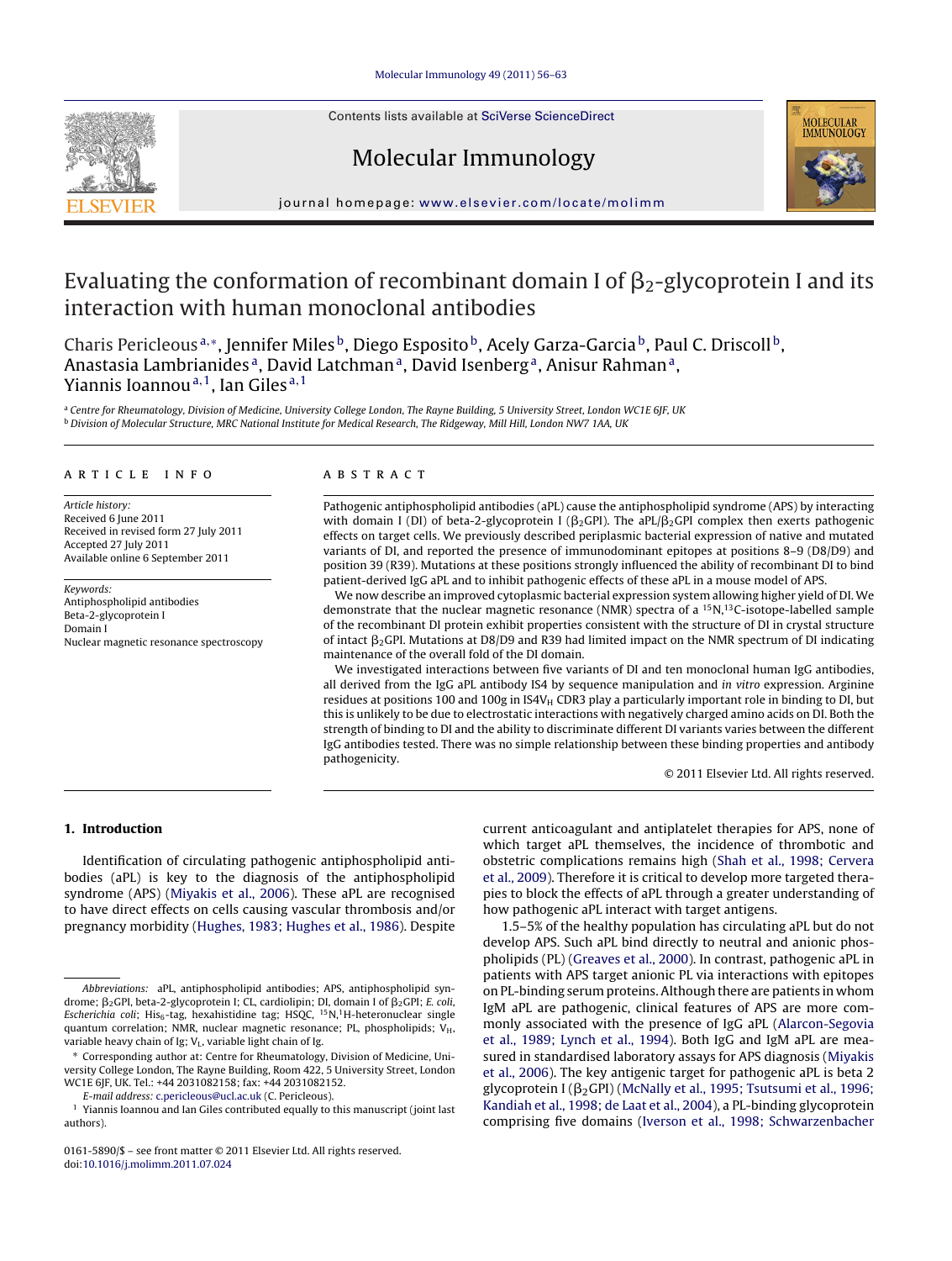Contents lists available at SciVerse [ScienceDirect](http://www.sciencedirect.com/science/journal/01615890)







iournal homepage: [www.elsevier.com/locate/molimm](http://www.elsevier.com/locate/molimm)

# Evaluating the conformation of recombinant domain I of  $\beta_2$ -glycoprotein I and its interaction with human monoclonal antibodies

Charis Pericleous<sup>a,∗</sup>, Jennifer Miles<sup>b</sup>, Diego Esposito<sup>b</sup>, Acely Garza-Garcia<sup>b</sup>, Paul C. Driscoll<sup>b</sup>, Anastasia Lambrianides<sup>a</sup>, David Latchman<sup>a</sup>, David Isenberg<sup>a</sup>, Anisur Rahman<sup>a</sup>, Yiannis Ioannou<sup>a, 1</sup>, Ian Giles<sup>a, 1</sup>

a Centre for Rheumatology, Division of Medicine, University College London, The Rayne Building, 5 University Street, London WC1E 6JF, UK **b Division of Molecular Structure, MRC National Institute for Medical Research, The Ridgeway, Mill Hill, London NW7 1AA, UK** 

### a r t i c l e i n f o

Article history: Received 6 June 2011 Received in revised form 27 July 2011 Accepted 27 July 2011 Available online 6 September 2011

Keywords: Antiphospholipid antibodies Beta-2-glycoprotein I Domain I Nuclear magnetic resonance spectroscopy

#### A B S T R A C T

Pathogenic antiphospholipid antibodies (aPL) cause the antiphospholipid syndrome (APS) by interacting with domain I (DI) of beta-2-glycoprotein I ( $\beta_2$ GPI). The aPL/ $\beta_2$ GPI complex then exerts pathogenic effects on target cells. We previously described periplasmic bacterial expression of native and mutated variants of DI, and reported the presence of immunodominant epitopes at positions 8–9 (D8/D9) and position 39 (R39). Mutations at these positions strongly influenced the ability of recombinant DI to bind patient-derived IgG aPL and to inhibit pathogenic effects of these aPL in a mouse model of APS.

We now describe an improved cytoplasmic bacterial expression system allowing higher yield of DI. We demonstrate that the nuclear magnetic resonance (NMR) spectra of a  ${}^{15}N,{}^{13}C$ -isotope-labelled sample of the recombinant DI protein exhibit properties consistent with the structure of DI in crystal structure of intact  $\beta_2$ GPI. Mutations at D8/D9 and R39 had limited impact on the NMR spectrum of DI indicating maintenance of the overall fold of the DI domain.

We investigated interactions between five variants of DI and ten monoclonal human IgG antibodies, all derived from the IgG aPL antibody IS4 by sequence manipulation and in vitro expression. Arginine residues at positions 100 and 100g in IS4V $_H$  CDR3 play a particularly important role in binding to DI, but this is unlikely to be due to electrostatic interactions with negatively charged amino acids on DI. Both the strength of binding to DI and the ability to discriminate different DI variants varies between the different IgG antibodies tested. There was no simple relationship between these binding properties and antibody pathogenicity.

© 2011 Elsevier Ltd. All rights reserved.

# **1. Introduction**

Identification of circulating pathogenic antiphospholipid antibodies (aPL) is key to the diagnosis of the antiphospholipid syndrome (APS) [\(Miyakis](#page-7-0) et [al.,](#page-7-0) [2006\).](#page-7-0) These aPL are recognised to have direct effects on cells causing vascular thrombosis and/or pregnancy morbidity [\(Hughes,](#page-7-0) [1983;](#page-7-0) [Hughes](#page-7-0) et [al.,](#page-7-0) [1986\).](#page-7-0) Despite

E-mail address: [c.pericleous@ucl.ac.uk](mailto:c.pericleous@ucl.ac.uk) (C. Pericleous).

0161-5890/\$ – see front matter © 2011 Elsevier Ltd. All rights reserved. doi:[10.1016/j.molimm.2011.07.024](dx.doi.org/10.1016/j.molimm.2011.07.024)

current anticoagulant and antiplatelet therapies for APS, none of which target aPL themselves, the incidence of thrombotic and obstetric complications remains high ([Shah](#page-7-0) et [al.,](#page-7-0) [1998;](#page-7-0) [Cervera](#page-7-0) et [al.,](#page-7-0) [2009\).](#page-7-0) Therefore it is critical to develop more targeted therapies to block the effects of aPL through a greater understanding of how pathogenic aPL interact with target antigens.

1.5–5% of the healthy population has circulating aPL but do not develop APS. Such aPL bind directly to neutral and anionic phospholipids (PL) [\(Greaves](#page-7-0) et [al.,](#page-7-0) [2000\).](#page-7-0) In contrast, pathogenic aPL in patients with APS target anionic PL via interactions with epitopes on PL-binding serum proteins.Although there are patients in whom IgM aPL are pathogenic, clinical features of APS are more commonly associated with the presence of IgG aPL ([Alarcon-Segovia](#page-6-0) et [al.,](#page-6-0) [1989;](#page-6-0) [Lynch](#page-6-0) et [al.,](#page-6-0) [1994\).](#page-6-0) Both IgG and IgM aPL are measured in standardised laboratory assays for APS diagnosis ([Miyakis](#page-7-0) et [al.,](#page-7-0) [2006\).](#page-7-0) The key antigenic target for pathogenic aPL is beta 2 glycoprotein I ( $\beta_2$ GPI) ([McNally](#page-7-0) et [al.,](#page-7-0) [1995;](#page-7-0) [Tsutsumi](#page-7-0) et al., [1996;](#page-7-0) [Kandiah](#page-7-0) et [al.,](#page-7-0) [1998;](#page-7-0) [de](#page-7-0) [Laat](#page-7-0) et [al.,](#page-7-0) [2004\),](#page-7-0) a PL-binding glycoprotein comprising five domains ([Iverson](#page-7-0) et [al.,](#page-7-0) [1998;](#page-7-0) [Schwarzenbacher](#page-7-0)

Abbreviations: aPL, antiphospholipid antibodies; APS, antiphospholipid syndrome;  $\beta_2$ GPI, beta-2-glycoprotein I; CL, cardiolipin; DI, domain I of  $\beta_2$ GPI; *E. coli*, Escherichia coli; His<sub>6</sub>-tag, hexahistidine tag; HSQC,  $15N$ ,<sup>1</sup>H-heteronuclear single quantum correlation; NMR, nuclear magnetic resonance; PL, phospholipids;  $V_H$ , variable heavy chain of Ig;  $V_L$ , variable light chain of Ig.

<sup>∗</sup> Corresponding author at: Centre for Rheumatology, Division of Medicine, University College London, The Rayne Building, Room 422, 5 University Street, London WC1E 6JF, UK. Tel.: +44 2031082158; fax: +44 2031082152.

 $^{\rm 1}$  Yiannis Ioannou and Ian Giles contributed equally to this manuscript (joint last authors).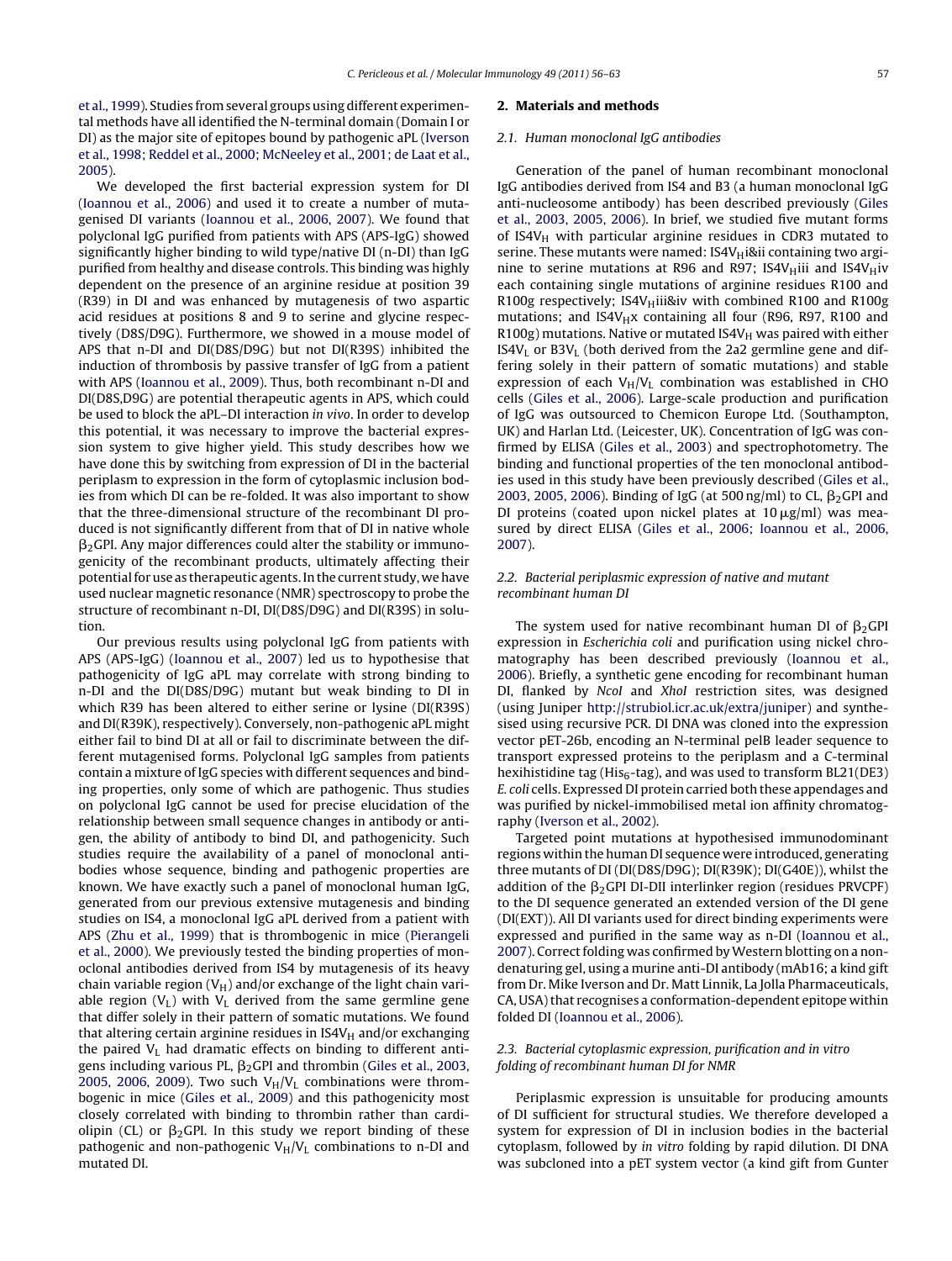et [al.,](#page-7-0) [1999\).](#page-7-0) Studies from several groups using different experimental methods have all identified the N-terminal domain (Domain I or DI) as the major site of epitopes bound by pathogenic aPL [\(Iverson](#page-7-0) et [al.,](#page-7-0) [1998;](#page-7-0) [Reddel](#page-7-0) et [al.,](#page-7-0) [2000;](#page-7-0) [McNeeley](#page-7-0) et [al.,](#page-7-0) [2001;](#page-7-0) [de](#page-7-0) [Laat](#page-7-0) et [al.,](#page-7-0) [2005\).](#page-7-0)

We developed the first bacterial expression system for DI ([Ioannou](#page-7-0) et [al.,](#page-7-0) [2006\)](#page-7-0) and used it to create a number of mutagenised DI variants ([Ioannou](#page-7-0) et [al.,](#page-7-0) [2006,](#page-7-0) [2007\).](#page-7-0) We found that polyclonal IgG purified from patients with APS (APS-IgG) showed significantly higher binding to wild type/native DI (n-DI) than IgG purified from healthy and disease controls. This binding was highly dependent on the presence of an arginine residue at position 39 (R39) in DI and was enhanced by mutagenesis of two aspartic acid residues at positions 8 and 9 to serine and glycine respectively (D8S/D9G). Furthermore, we showed in a mouse model of APS that n-DI and DI(D8S/D9G) but not DI(R39S) inhibited the induction of thrombosis by passive transfer of IgG from a patient with APS [\(Ioannou](#page-7-0) et [al.,](#page-7-0) [2009\).](#page-7-0) Thus, both recombinant n-DI and DI(D8S,D9G) are potential therapeutic agents in APS, which could be used to block the aPL–DI interaction in vivo. In order to develop this potential, it was necessary to improve the bacterial expression system to give higher yield. This study describes how we have done this by switching from expression of DI in the bacterial periplasm to expression in the form of cytoplasmic inclusion bodies from which DI can be re-folded. It was also important to show that the three-dimensional structure of the recombinant DI produced is not significantly different from that of DI in native whole  $\beta_2$ GPI. Any major differences could alter the stability or immunogenicity of the recombinant products, ultimately affecting their potential for use as therapeutic agents. In the current study, we have used nuclear magnetic resonance (NMR) spectroscopy to probe the structure of recombinant n-DI, DI(D8S/D9G) and DI(R39S) in solution.

Our previous results using polyclonal IgG from patients with APS (APS-IgG) ([Ioannou](#page-7-0) et [al.,](#page-7-0) [2007\)](#page-7-0) led us to hypothesise that pathogenicity of IgG aPL may correlate with strong binding to n-DI and the DI(D8S/D9G) mutant but weak binding to DI in which R39 has been altered to either serine or lysine (DI(R39S) and DI(R39K), respectively). Conversely, non-pathogenic aPL might either fail to bind DI at all or fail to discriminate between the different mutagenised forms. Polyclonal IgG samples from patients contain a mixture of IgG species with different sequences and binding properties, only some of which are pathogenic. Thus studies on polyclonal IgG cannot be used for precise elucidation of the relationship between small sequence changes in antibody or antigen, the ability of antibody to bind DI, and pathogenicity. Such studies require the availability of a panel of monoclonal antibodies whose sequence, binding and pathogenic properties are known. We have exactly such a panel of monoclonal human IgG, generated from our previous extensive mutagenesis and binding studies on IS4, a monoclonal IgG aPL derived from a patient with APS [\(Zhu](#page-7-0) et [al.,](#page-7-0) [1999\)](#page-7-0) that is thrombogenic in mice [\(Pierangeli](#page-7-0) et [al.,](#page-7-0) [2000\).](#page-7-0) We previously tested the binding properties of monoclonal antibodies derived from IS4 by mutagenesis of its heavy chain variable region ( $V_H$ ) and/or exchange of the light chain variable region  $(V_L)$  with  $V_L$  derived from the same germline gene that differ solely in their pattern of somatic mutations. We found that altering certain arginine residues in  $IS4V_H$  and/or exchanging the paired  $V<sub>L</sub>$  had dramatic effects on binding to different antigens including various PL,  $\beta_2$ GPI and thrombin ([Giles](#page-7-0) et [al.,](#page-7-0) [2003,](#page-7-0) [2005,](#page-7-0) [2006,](#page-7-0) [2009\).](#page-7-0) Two such  $V_H/V_L$  combinations were thrombogenic in mice ([Giles](#page-7-0) et [al.,](#page-7-0) [2009\)](#page-7-0) and this pathogenicity most closely correlated with binding to thrombin rather than cardiolipin (CL) or  $\beta_2$ GPI. In this study we report binding of these pathogenic and non-pathogenic  $V_H/V_L$  combinations to n-DI and mutated DI.

#### **2. Materials and methods**

#### 2.1. Human monoclonal IgG antibodies

Generation of the panel of human recombinant monoclonal IgG antibodies derived from IS4 and B3 (a human monoclonal IgG anti-nucleosome antibody) has been described previously [\(Giles](#page-7-0) et [al.,](#page-7-0) [2003,](#page-7-0) [2005,](#page-7-0) [2006\).](#page-7-0) In brief, we studied five mutant forms of IS4V $H$  with particular arginine residues in CDR3 mutated to serine. These mutants were named: IS4V $H$ i&ii containing two arginine to serine mutations at R96 and R97; IS4V $_{\rm H}$ iii and IS4V $_{\rm H}$ iv each containing single mutations of arginine residues R100 and R100g respectively; IS4V $H$ iii&iv with combined R100 and R100g mutations; and  $IS4V_Hx$  containing all four (R96, R97, R100 and  $R100g$ ) mutations. Native or mutated IS4V $_H$  was paired with either  $IS4V<sub>L</sub>$  or  $B3V<sub>L</sub>$  (both derived from the 2a2 germline gene and differing solely in their pattern of somatic mutations) and stable expression of each  $V_H/V_L$  combination was established in CHO cells ([Giles](#page-7-0) [et](#page-7-0) [al.,](#page-7-0) [2006\).](#page-7-0) Large-scale production and purification of IgG was outsourced to Chemicon Europe Ltd. (Southampton, UK) and Harlan Ltd. (Leicester, UK). Concentration of IgG was confirmed by ELISA [\(Giles](#page-7-0) et [al.,](#page-7-0) [2003\)](#page-7-0) and spectrophotometry. The binding and functional properties of the ten monoclonal antibodies used in this study have been previously described [\(Giles](#page-7-0) et [al.,](#page-7-0) [2003,](#page-7-0) [2005,](#page-7-0) [2006\).](#page-7-0) Binding of IgG (at 500 ng/ml) to CL,  $\beta_2$ GPI and DI proteins (coated upon nickel plates at  $10 \mu$ g/ml) was measured by direct ELISA ([Giles](#page-7-0) [et](#page-7-0) [al.,](#page-7-0) [2006;](#page-7-0) [Ioannou](#page-7-0) et [al.,](#page-7-0) [2006,](#page-7-0) [2007\).](#page-7-0)

# 2.2. Bacterial periplasmic expression of native and mutant recombinant human DI

The system used for native recombinant human DI of  $\beta_2$ GPI expression in Escherichia coli and purification using nickel chromatography has been described previously ([Ioannou](#page-7-0) et [al.,](#page-7-0) [2006\).](#page-7-0) Briefly, a synthetic gene encoding for recombinant human DI, flanked by NcoI and XhoI restriction sites, was designed (using Juniper <http://strubiol.icr.ac.uk/extra/juniper>) and synthesised using recursive PCR. DI DNA was cloned into the expression vector pET-26b, encoding an N-terminal pelB leader sequence to transport expressed proteins to the periplasm and a C-terminal hexihistidine tag (His $_6$ -tag), and was used to transform BL21(DE3) E. coli cells. Expressed DI protein carried both these appendages and was purified by nickel-immobilised metal ion affinity chromatography ([Iverson](#page-7-0) et [al.,](#page-7-0) [2002\).](#page-7-0)

Targeted point mutations at hypothesised immunodominant regions within the human DI sequence were introduced, generating three mutants of DI (DI(D8S/D9G); DI(R39K); DI(G40E)), whilst the addition of the  $\beta_2$ GPI DI-DII interlinker region (residues PRVCPF) to the DI sequence generated an extended version of the DI gene (DI(EXT)). All DI variants used for direct binding experiments were expressed and purified in the same way as n-DI [\(Ioannou](#page-7-0) et [al.,](#page-7-0) [2007\).](#page-7-0) Correct folding was confirmed by Western blotting on a nondenaturing gel, using a murine anti-DI antibody (mAb16; a kind gift from Dr. Mike Iverson and Dr. Matt Linnik, La Jolla Pharmaceuticals, CA, USA) that recognises a conformation-dependent epitope within folded DI [\(Ioannou](#page-7-0) et [al.,](#page-7-0) [2006\).](#page-7-0)

# 2.3. Bacterial cytoplasmic expression, purification and in vitro folding of recombinant human DI for NMR

Periplasmic expression is unsuitable for producing amounts of DI sufficient for structural studies. We therefore developed a system for expression of DI in inclusion bodies in the bacterial cytoplasm, followed by in vitro folding by rapid dilution. DI DNA was subcloned into a pET system vector (a kind gift from Gunter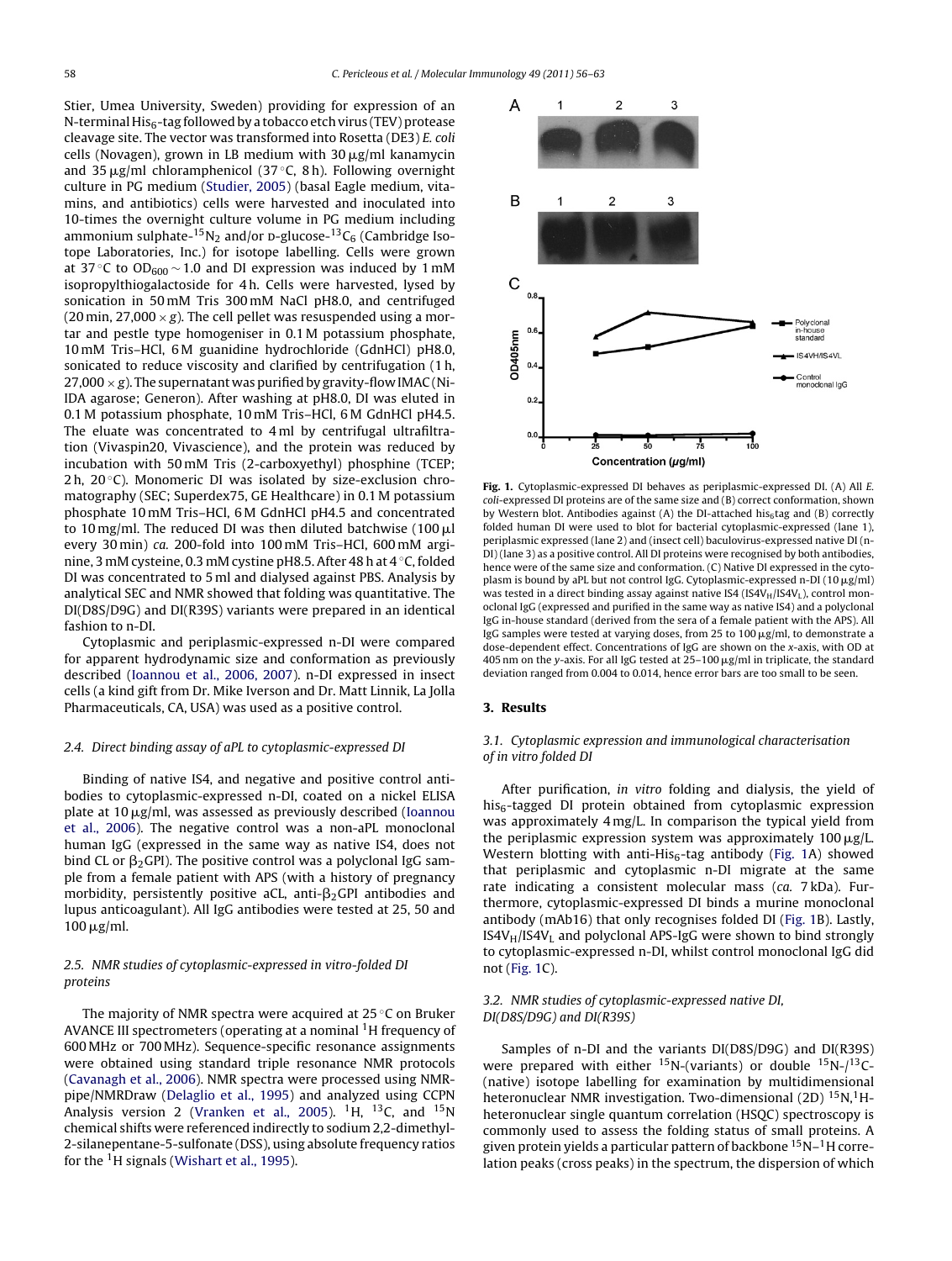Stier, Umea University, Sweden) providing for expression of an N-terminal  $His<sub>6</sub>$ -tag followed by a tobacco etch virus (TEV) protease cleavage site. The vector was transformed into Rosetta (DE3) E. coli cells (Novagen), grown in LB medium with  $30 \mu$ g/ml kanamycin and 35  $\mu$ g/ml chloramphenicol (37 °C, 8 h). Following overnight culture in PG medium [\(Studier,](#page-7-0) [2005\)](#page-7-0) (basal Eagle medium, vitamins, and antibiotics) cells were harvested and inoculated into 10-times the overnight culture volume in PG medium including ammonium sulphate-<sup>15</sup>N<sub>2</sub> and/or p-glucose-<sup>13</sup>C<sub>6</sub> (Cambridge Isotope Laboratories, Inc.) for isotope labelling. Cells were grown at 37 °C to OD<sub>600</sub>  $\sim$  1.0 and DI expression was induced by 1 mM isopropylthiogalactoside for 4 h. Cells were harvested, lysed by sonication in 50 mM Tris 300 mM NaCl pH8.0, and centrifuged (20 min, 27,000  $\times$  g). The cell pellet was resuspended using a mortar and pestle type homogeniser in 0.1 M potassium phosphate, 10 mM Tris–HCl, 6 M guanidine hydrochloride (GdnHCl) pH8.0, sonicated to reduce viscosity and clarified by centrifugation (1 h, 27,000  $\times$  g). The supernatant was purified by gravity-flow IMAC (Ni-IDA agarose; Generon). After washing at pH8.0, DI was eluted in 0.1 M potassium phosphate, 10 mM Tris–HCl, 6 M GdnHCl pH4.5. The eluate was concentrated to 4 ml by centrifugal ultrafiltration (Vivaspin20, Vivascience), and the protein was reduced by incubation with 50 mM Tris (2-carboxyethyl) phosphine (TCEP; 2 h,  $20^{\circ}$ C). Monomeric DI was isolated by size-exclusion chromatography (SEC; Superdex75, GE Healthcare) in 0.1 M potassium phosphate 10 mM Tris–HCl, 6 M GdnHCl pH4.5 and concentrated to 10 mg/ml. The reduced DI was then diluted batchwise  $(100 \,\mu$ l every 30 min) ca. 200-fold into 100 mM Tris–HCl, 600 mM arginine, 3 mM cysteine, 0.3 mM cystine pH8.5. After 48 h at 4 ◦C, folded DI was concentrated to 5 ml and dialysed against PBS. Analysis by analytical SEC and NMR showed that folding was quantitative. The DI(D8S/D9G) and DI(R39S) variants were prepared in an identical fashion to n-DI.

Cytoplasmic and periplasmic-expressed n-DI were compared for apparent hydrodynamic size and conformation as previously described [\(Ioannou](#page-7-0) et [al.,](#page-7-0) [2006,](#page-7-0) [2007\).](#page-7-0) n-DI expressed in insect cells (a kind gift from Dr. Mike Iverson and Dr. Matt Linnik, La Jolla Pharmaceuticals, CA, USA) was used as a positive control.

## 2.4. Direct binding assay of aPL to cytoplasmic-expressed DI

Binding of native IS4, and negative and positive control antibodies to cytoplasmic-expressed n-DI, coated on a nickel ELISA plate at  $10 \mu$ g/ml, was assessed as previously described ([Ioannou](#page-7-0) et [al.,](#page-7-0) [2006\).](#page-7-0) The negative control was a non-aPL monoclonal human IgG (expressed in the same way as native IS4, does not bind CL or  $\beta_2$ GPI). The positive control was a polyclonal IgG sample from a female patient with APS (with a history of pregnancy morbidity, persistently positive aCL, anti- $\beta_2$ GPI antibodies and lupus anticoagulant). All IgG antibodies were tested at 25, 50 and  $100 \mu$ g/ml.

# 2.5. NMR studies of cytoplasmic-expressed in vitro-folded DI proteins

The majority of NMR spectra were acquired at 25 ◦C on Bruker AVANCE III spectrometers (operating at a nominal <sup>1</sup>H frequency of 600 MHz or 700 MHz). Sequence-specific resonance assignments were obtained using standard triple resonance NMR protocols ([Cavanagh](#page-6-0) et [al.,](#page-6-0) [2006\).](#page-6-0) NMR spectra were processed using NMRpipe/NMRDraw ([Delaglio](#page-7-0) et [al.,](#page-7-0) [1995\)](#page-7-0) and analyzed using CCPN Analysis version 2 ([Vranken](#page-7-0) et [al.,](#page-7-0) [2005\).](#page-7-0) <sup>1</sup>H, <sup>13</sup>C, and <sup>15</sup>N chemical shifts were referenced indirectly to sodium 2,2-dimethyl-2-silanepentane-5-sulfonate (DSS), using absolute frequency ratios for the  $1H$  signals ([Wishart](#page-7-0) et [al.,](#page-7-0) [1995\).](#page-7-0)



**Fig. 1.** Cytoplasmic-expressed DI behaves as periplasmic-expressed DI. (A) All E. coli-expressed DI proteins are of the same size and (B) correct conformation, shown by Western blot. Antibodies against (A) the DI-attached his<sub>6</sub>tag and (B) correctly folded human DI were used to blot for bacterial cytoplasmic-expressed (lane 1), periplasmic expressed (lane 2) and (insect cell) baculovirus-expressed native DI (n-DI) (lane 3) as a positive control. All DI proteins were recognised by both antibodies, hence were of the same size and conformation. (C) Native DI expressed in the cytoplasm is bound by aPL but not control IgG. Cytoplasmic-expressed n-DI (10  $\mu$ g/ml) was tested in a direct binding assay against native IS4 (IS4V<sub>H</sub>/IS4V<sub>L</sub>), control monoclonal IgG (expressed and purified in the same way as native IS4) and a polyclonal IgG in-house standard (derived from the sera of a female patient with the APS). All IgG samples were tested at varying doses, from 25 to 100  $\mu$ g/ml, to demonstrate a dose-dependent effect. Concentrations of IgG are shown on the x-axis, with OD at 405 nm on the y-axis. For all IgG tested at  $25-100 \mu$ g/ml in triplicate, the standard deviation ranged from 0.004 to 0.014, hence error bars are too small to be seen.

### **3. Results**

# 3.1. Cytoplasmic expression and immunological characterisation of in vitro folded DI

After purification, in vitro folding and dialysis, the yield of  $his<sub>6</sub>$ -tagged DI protein obtained from cytoplasmic expression was approximately 4 mg/L. In comparison the typical yield from the periplasmic expression system was approximately  $100 \mu g/L$ . Western blotting with anti-His $_6$ -tag antibody (Fig. 1A) showed that periplasmic and cytoplasmic n-DI migrate at the same rate indicating a consistent molecular mass (ca. 7 kDa). Furthermore, cytoplasmic-expressed DI binds a murine monoclonal antibody (mAb16) that only recognises folded DI (Fig. 1B). Lastly,  $IS4V_H/IS4V_L$  and polyclonal APS-IgG were shown to bind strongly to cytoplasmic-expressed n-DI, whilst control monoclonal IgG did not (Fig. 1C).

# 3.2. NMR studies of cytoplasmic-expressed native DI, DI(D8S/D9G) and DI(R39S)

Samples of n-DI and the variants DI(D8S/D9G) and DI(R39S) were prepared with either  $^{15}N$ -(variants) or double  $^{15}N$ -/ $^{13}C$ -(native) isotope labelling for examination by multidimensional heteronuclear NMR investigation. Two-dimensional (2D) <sup>15</sup>N, <sup>1</sup>Hheteronuclear single quantum correlation (HSQC) spectroscopy is commonly used to assess the folding status of small proteins. A given protein yields a particular pattern of backbone 15N–1H correlation peaks (cross peaks) in the spectrum, the dispersion of which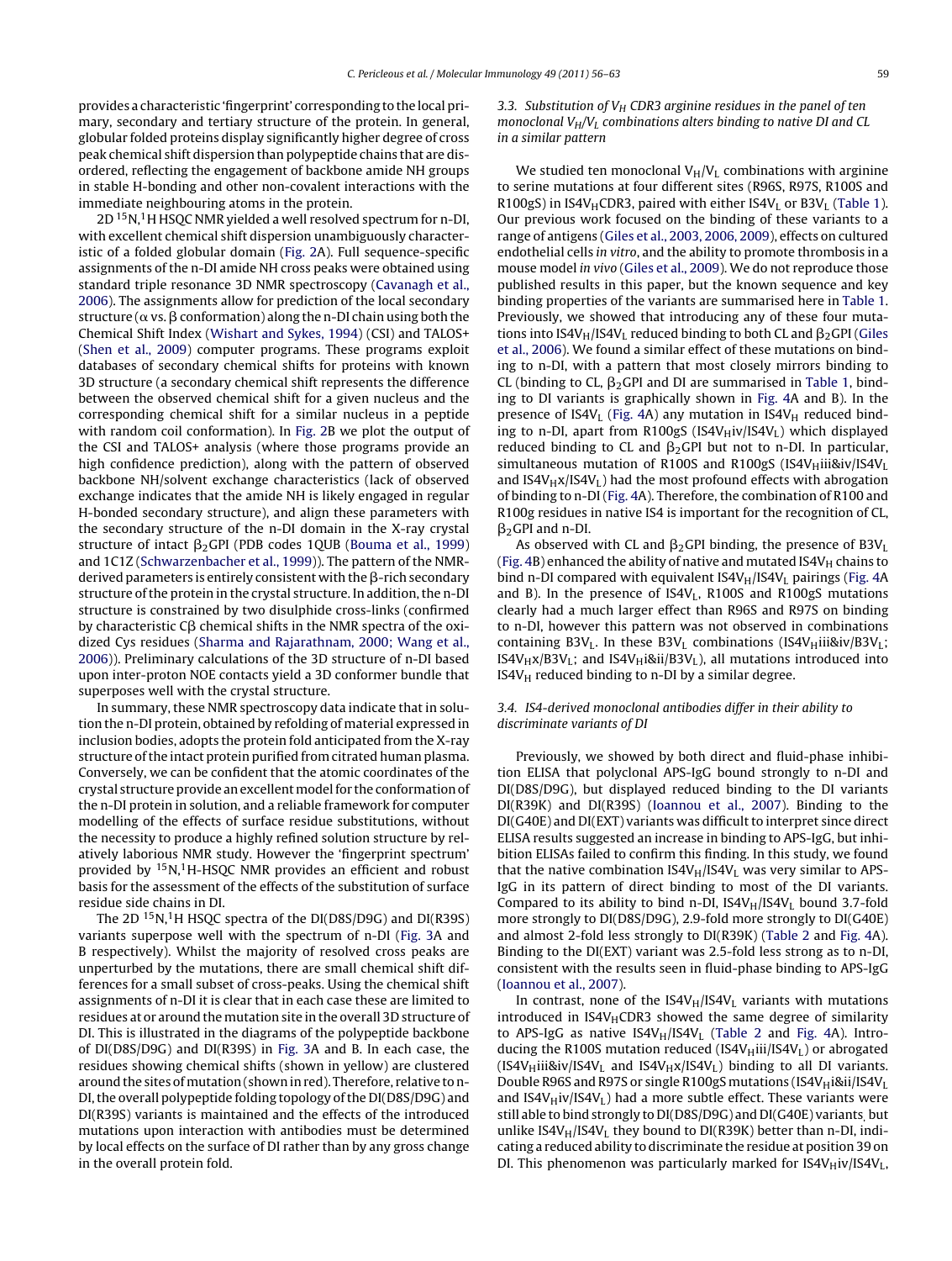provides a characteristic 'fingerprint' corresponding to the localprimary, secondary and tertiary structure of the protein. In general, globular folded proteins display significantly higher degree of cross peak chemical shift dispersion than polypeptide chains that are disordered, reflecting the engagement of backbone amide NH groups in stable H-bonding and other non-covalent interactions with the immediate neighbouring atoms in the protein.

 $2D<sup>15</sup>N<sub>1</sub><sup>1</sup>H$  HSQC NMR yielded a well resolved spectrum for n-DI, with excellent chemical shift dispersion unambiguously characteristic of a folded globular domain ([Fig.](#page-4-0) 2A). Full sequence-specific assignments of the n-DI amide NH cross peaks were obtained using standard triple resonance 3D NMR spectroscopy [\(Cavanagh](#page-6-0) et [al.,](#page-6-0) [2006\).](#page-6-0) The assignments allow for prediction of the local secondary structure ( $\alpha$  vs.  $\beta$  conformation) along the n-DI chain using both the Chemical Shift Index ([Wishart](#page-7-0) [and](#page-7-0) [Sykes,](#page-7-0) [1994\)](#page-7-0) (CSI) and TALOS+ ([Shen](#page-7-0) et [al.,](#page-7-0) [2009\)](#page-7-0) computer programs. These programs exploit databases of secondary chemical shifts for proteins with known 3D structure (a secondary chemical shift represents the difference between the observed chemical shift for a given nucleus and the corresponding chemical shift for a similar nucleus in a peptide with random coil conformation). In [Fig.](#page-4-0) 2B we plot the output of the CSI and TALOS+ analysis (where those programs provide an high confidence prediction), along with the pattern of observed backbone NH/solvent exchange characteristics (lack of observed exchange indicates that the amide NH is likely engaged in regular H-bonded secondary structure), and align these parameters with the secondary structure of the n-DI domain in the X-ray crystal structure of intact  $\beta_2$ GPI (PDB codes 1QUB ([Bouma](#page-6-0) et [al.,](#page-6-0) [1999\)](#page-6-0) and 1C1Z [\(Schwarzenbacher](#page-7-0) et [al.,](#page-7-0) [1999\)\)](#page-7-0). The pattern of the NMRderived parameters is entirely consistent with the  $\beta$ -rich secondary structure of the protein in the crystal structure. In addition, the n-DI structure is constrained by two disulphide cross-links (confirmed by characteristic C $\beta$  chemical shifts in the NMR spectra of the oxidized Cys residues ([Sharma](#page-7-0) [and](#page-7-0) [Rajarathnam,](#page-7-0) [2000;](#page-7-0) [Wang](#page-7-0) et [al.,](#page-7-0) [2006\)\)](#page-7-0). Preliminary calculations of the 3D structure of n-DI based upon inter-proton NOE contacts yield a 3D conformer bundle that superposes well with the crystal structure.

In summary, these NMR spectroscopy data indicate that in solution the n-DI protein, obtained by refolding of material expressed in inclusion bodies, adopts the protein fold anticipated from the X-ray structure of the intact protein purified from citrated human plasma. Conversely, we can be confident that the atomic coordinates of the crystal structure provide an excellent model for the conformation of the n-DI protein in solution, and a reliable framework for computer modelling of the effects of surface residue substitutions, without the necessity to produce a highly refined solution structure by relatively laborious NMR study. However the 'fingerprint spectrum' provided by  ${}^{15}N,{}^{1}H$ -HSQC NMR provides an efficient and robust basis for the assessment of the effects of the substitution of surface residue side chains in DI.

The 2D <sup>15</sup>N,<sup>1</sup>H HSQC spectra of the DI(D8S/D9G) and DI(R39S) variants superpose well with the spectrum of n-DI [\(Fig.](#page-4-0) 3A and B respectively). Whilst the majority of resolved cross peaks are unperturbed by the mutations, there are small chemical shift differences for a small subset of cross-peaks. Using the chemical shift assignments of n-DI it is clear that in each case these are limited to residues at or around the mutation site in the overall 3D structure of DI. This is illustrated in the diagrams of the polypeptide backbone of DI(D8S/D9G) and DI(R39S) in [Fig.](#page-4-0) 3A and B. In each case, the residues showing chemical shifts (shown in yellow) are clustered around the sites of mutation (shown in red). Therefore, relative to n-DI, the overall polypeptide folding topology of the DI(D8S/D9G) and DI(R39S) variants is maintained and the effects of the introduced mutations upon interaction with antibodies must be determined by local effects on the surface of DI rather than by any gross change in the overall protein fold.

3.3. Substitution of  $V_H$  CDR3 arginine residues in the panel of ten monoclonal  $V_H/V_L$  combinations alters binding to native DI and CL in a similar pattern

We studied ten monoclonal  $V_H/V_L$  combinations with arginine to serine mutations at four different sites (R96S, R97S, R100S and R100gS) in IS4V<sub>H</sub>CDR3, paired with either IS4V<sub>L</sub> or B3V<sub>L</sub> [\(Table](#page-5-0) 1). Our previous work focused on the binding of these variants to a range of antigens ([Giles](#page-7-0) et [al.,](#page-7-0) [2003,](#page-7-0) [2006,](#page-7-0) [2009\),](#page-7-0) effects on cultured endothelial cells in vitro, and the ability to promote thrombosis in a mouse model in vivo [\(Giles](#page-7-0) et [al.,](#page-7-0) [2009\).](#page-7-0) We do not reproduce those published results in this paper, but the known sequence and key binding properties of the variants are summarised here in [Table](#page-5-0) 1. Previously, we showed that introducing any of these four mutations into IS4V<sub>H</sub>/IS4V<sub>L</sub> reduced binding to both CL and  $\beta_2$ GPI [\(Giles](#page-7-0) et [al.,](#page-7-0) [2006\).](#page-7-0) We found a similar effect of these mutations on binding to n-DI, with a pattern that most closely mirrors binding to CL (binding to CL,  $β<sub>2</sub>$ GPI and DI are summarised in [Table](#page-5-0) 1, binding to DI variants is graphically shown in [Fig.](#page-5-0) 4A and B). In the presence of IS4V<sub>L</sub> ([Fig.](#page-5-0) 4A) any mutation in IS4V<sub>H</sub> reduced binding to n-DI, apart from R100gS (IS4V $_H$ iv/IS4V<sub>L</sub>) which displayed reduced binding to CL and  $\beta_2$ GPI but not to n-DI. In particular, simultaneous mutation of R100S and R100gS (IS4V $_{\text{H}}$ iii&iv/IS4V<sub>L</sub> and  $IS4V_Hx/IS4V_L$ ) had the most profound effects with abrogation of binding to n-DI [\(Fig.](#page-5-0) 4A). Therefore, the combination of R100 and R100g residues in native IS4 is important for the recognition of CL,  $\beta_2$ GPI and n-DI.

As observed with CL and  $\beta_2$ GPI binding, the presence of B3V<sub>I</sub> [\(Fig.](#page-5-0) 4B) enhanced the ability of native and mutated IS4V $_H$  chains to bind n-DI compared with equivalent IS4V<sub>H</sub>/IS4V<sub>L</sub> pairings [\(Fig.](#page-5-0) 4A and B). In the presence of  $IS4V_L$ , R100S and R100gS mutations clearly had a much larger effect than R96S and R97S on binding to n-DI, however this pattern was not observed in combinations containing B3V<sub>L</sub>. In these B3V<sub>L</sub> combinations (IS4V<sub>H</sub>iii&iv/B3V<sub>L</sub>; IS4V<sub>H</sub>x/B3V<sub>L</sub>; and IS4V<sub>H</sub>i&ii/B3V<sub>L</sub>), all mutations introduced into  $IS4V_H$  reduced binding to n-DI by a similar degree.

# 3.4. IS4-derived monoclonal antibodies differ in their ability to discriminate variants of DI

Previously, we showed by both direct and fluid-phase inhibition ELISA that polyclonal APS-IgG bound strongly to n-DI and DI(D8S/D9G), but displayed reduced binding to the DI variants DI(R39K) and DI(R39S) [\(Ioannou](#page-7-0) et [al.,](#page-7-0) [2007\).](#page-7-0) Binding to the  $DI(G40E)$  and  $DI(EXT)$  variants was difficult to interpret since direct ELISA results suggested an increase in binding to APS-IgG, but inhibition ELISAs failed to confirm this finding. In this study, we found that the native combination  $IS4V_H/IS4V_L$  was very similar to APS-IgG in its pattern of direct binding to most of the DI variants. Compared to its ability to bind n-DI,  $IS4V_H/IS4V_L$  bound 3.7-fold more strongly to DI(D8S/D9G), 2.9-fold more strongly to DI(G40E) and almost 2-fold less strongly to DI(R39K) [\(Table](#page-5-0) 2 and [Fig.](#page-5-0) 4A). Binding to the DI(EXT) variant was 2.5-fold less strong as to n-DI, consistent with the results seen in fluid-phase binding to APS-IgG [\(Ioannou](#page-7-0) et [al.,](#page-7-0) [2007\).](#page-7-0)

In contrast, none of the  $IS4V_H/IS4V_L$  variants with mutations introduced in  $IS4V_HCDR3$  showed the same degree of similarity to APS-IgG as native  $IS4V_H/IS4V_L$  ([Table](#page-5-0) 2 and [Fig.](#page-5-0) 4A). Introducing the R100S mutation reduced (IS4V $_{\text{H}}$ iii/IS4V<sub>L</sub>) or abrogated  $(IS4V_Hiii&iv/IS4V_L$  and  $IS4V_Hx/IS4V_L)$  binding to all DI variants. Double R96S and R97S or single R100gS mutations (IS4V $_{\rm H}$ i&ii/IS4VL and IS4V $_H$ iv/IS4V<sub>L</sub>) had a more subtle effect. These variants were still able to bind strongly to DI(D8S/D9G) and DI(G40E) variants, but unlike IS4V $_H$ /IS4V<sub>L</sub> they bound to DI(R39K) better than n-DI, indicating a reduced ability to discriminate the residue at position 39 on DI. This phenomenon was particularly marked for  $IS4V_H$ iv/IS4V<sub>L</sub>,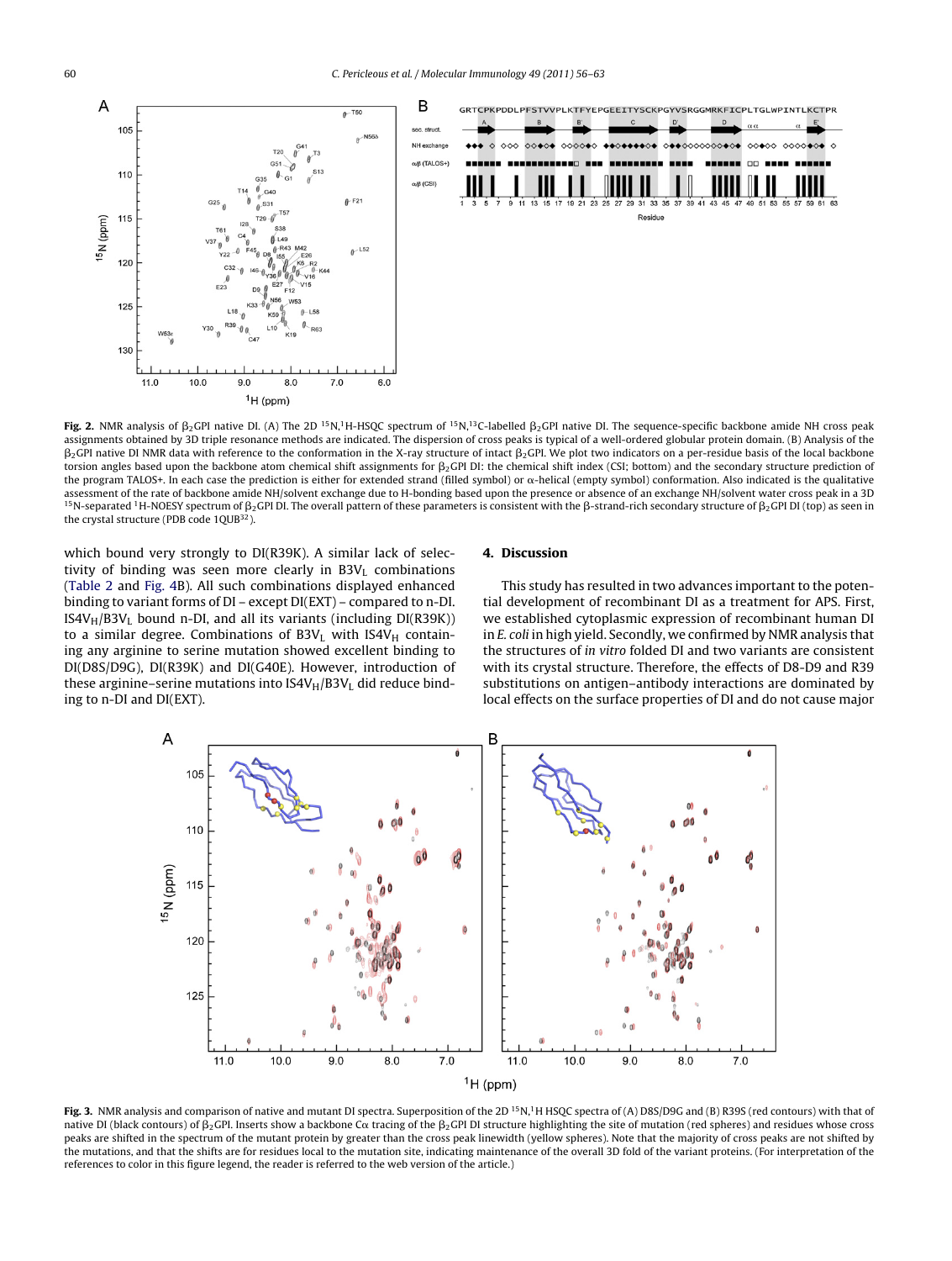<span id="page-4-0"></span>

 ${\sf Fig. 2.}$  NMR analysis of  $\beta_2$ GPI native DI. (A) The 2D <sup>15</sup>N,<sup>1</sup>H-HSQC spectrum of <sup>15</sup>N,<sup>13</sup>C-labelled  $\beta_2$ GPI native DI. The sequence-specific backbone amide NH cross peak assignments obtained by 3D triple resonance methods are indicated. The dispersion of cross peaks is typical of a well-ordered globular protein domain. (B) Analysis of the  $\beta_2$ GPI native DI NMR data with reference to the conformation in the X-ray structure of intact  $\beta_2$ GPI. We plot two indicators on a per-residue basis of the local backbone torsion angles based upon the backbone atom chemical shift assignments for  $\beta_2$ GPI DI: the chemical shift index (CSI; bottom) and the secondary structure prediction of the program TALOS+. In each case the prediction is either for extended strand (filled symbol) or  $\alpha$ -helical (empty symbol) conformation. Also indicated is the qualitative assessment of the rate of backbone amide NH/solvent exchange due to H-bonding based upon the presence or absence of an exchange NH/solvent water cross peak in a 3D <sup>15</sup>N-separated <sup>1</sup>H-NOESY spectrum of  $\beta_2$ GPI DI. The overall pattern of these parameters is consistent with the β-strand-rich secondary structure of  $\beta_2$ GPI DI (top) as seen in the crystal structure (PDB code 1QUB<sup>32</sup>).

which bound very strongly to DI(R39K). A similar lack of selectivity of binding was seen more clearly in  $B3V<sub>L</sub>$  combinations ([Table](#page-5-0) 2 and [Fig.](#page-5-0) 4B). All such combinations displayed enhanced binding to variant forms of DI – except DI(EXT) – compared to n-DI.  $IS4V_H/B3V_L$  bound n-DI, and all its variants (including DI(R39K)) to a similar degree. Combinations of  $B3V_L$  with  $IS4V_H$  containing any arginine to serine mutation showed excellent binding to DI(D8S/D9G), DI(R39K) and DI(G40E). However, introduction of these arginine–serine mutations into  $IS4V_H/B3V_L$  did reduce binding to n-DI and DI(EXT).

#### **4. Discussion**

This study has resulted in two advances important to the potential development of recombinant DI as a treatment for APS. First, we established cytoplasmic expression of recombinant human DI in E. coli in high yield. Secondly, we confirmed by NMR analysis that the structures of in vitro folded DI and two variants are consistent with its crystal structure. Therefore, the effects of D8-D9 and R39 substitutions on antigen–antibody interactions are dominated by local effects on the surface properties of DI and do not cause major



Fig. 3. NMR analysis and comparison of native and mutant DI spectra. Superposition of the 2D <sup>15</sup>N,<sup>1</sup>H HSQC spectra of (A) D8S/D9G and (B) R39S (red contours) with that of native DI (black contours) of  $\beta_2$ GPI. Inserts show a backbone C $\alpha$  tracing of the  $\beta_2$ GPI DI structure highlighting the site of mutation (red spheres) and residues whose cross peaks are shifted in the spectrum of the mutant protein by greater than the cross peak linewidth (yellow spheres). Note that the majority of cross peaks are not shifted by the mutations, and that the shifts are for residues local to the mutation site, indicating maintenance of the overall 3D fold of the variant proteins. (For interpretation of the references to color in this figure legend, the reader is referred to the web version of the article.)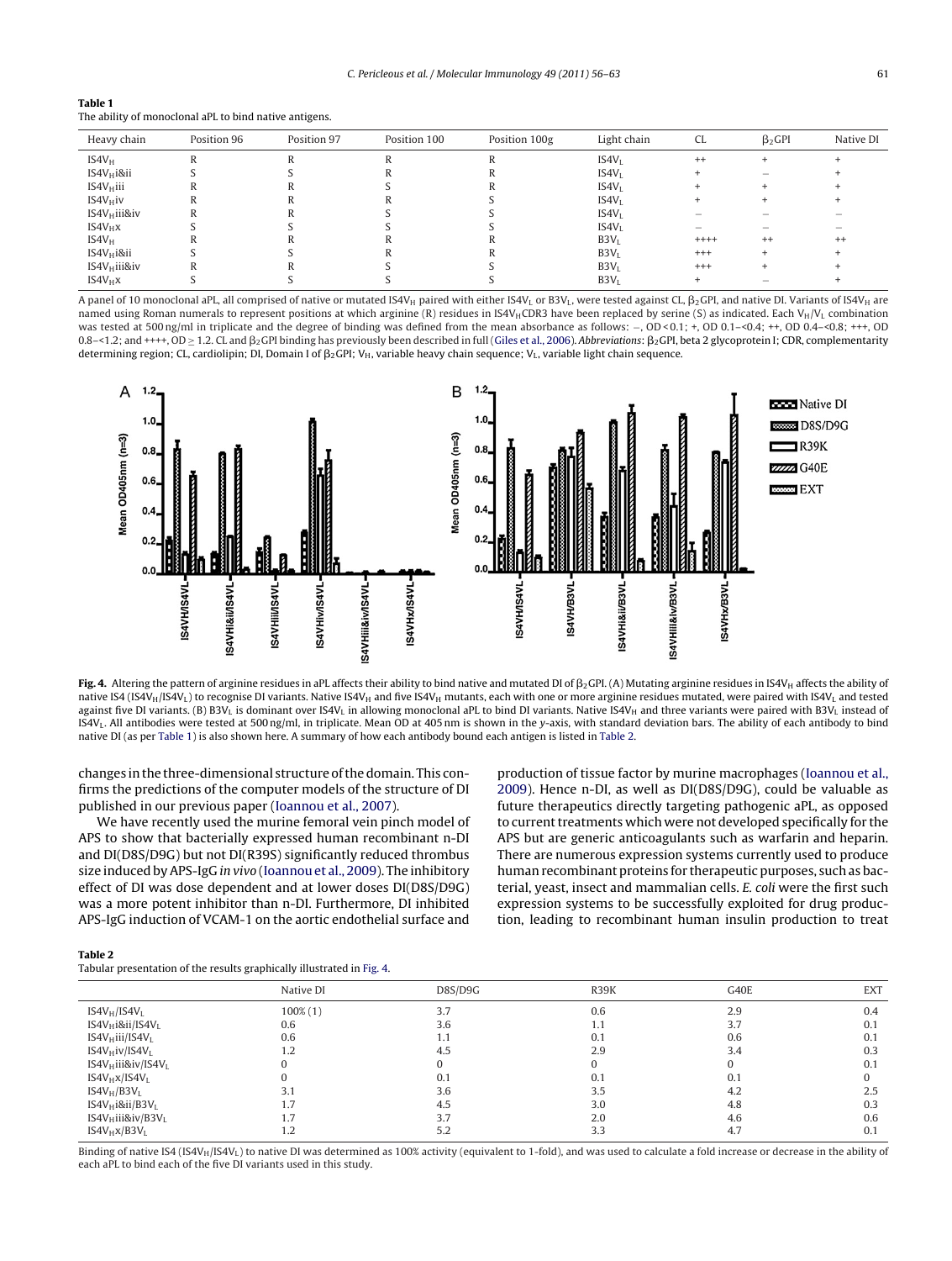<span id="page-5-0"></span>

| Table 1                                                |  |
|--------------------------------------------------------|--|
| The ability of monoclonal aPL to bind native antigens. |  |

| Heavy chain     | Position 96 | Position 97 | Position 100 | Position 100g | Light chain       | CL.      | $\beta$ <sub>2</sub> GPI | Native DI |
|-----------------|-------------|-------------|--------------|---------------|-------------------|----------|--------------------------|-----------|
| $IS4V_H$        | R           |             |              |               | IS4V <sub>I</sub> | $^{++}$  |                          |           |
| $IS4V_Hi8ii$    |             |             |              |               | IS4V <sub>I</sub> |          |                          |           |
| $IS4V_H$ iii    |             |             |              |               | IS4V <sub>L</sub> |          |                          |           |
| $IS4V_H$ iv     |             |             |              |               | IS4V <sub>L</sub> |          |                          |           |
| $IS4V_H$ iii&iv |             |             |              |               | IS4V <sub>L</sub> |          |                          |           |
| $IS4V_Hx$       |             |             |              |               | IS4V <sub>I</sub> |          |                          |           |
| $IS4V_H$        |             |             |              |               | B3V <sub>I</sub>  | $++++$   | $^{++}$                  | $^{++}$   |
| $IS4V_Hi8ii$    |             |             |              |               | B3V <sub>I</sub>  | $^{+++}$ |                          |           |
| $IS4V_H$ iii&iv |             |             |              |               | B3V <sub>I</sub>  | $^{+++}$ |                          |           |
| $IS4V_Hx$       |             |             |              |               | B3V <sub>L</sub>  |          |                          |           |

A panel of 10 monoclonal aPL, all comprised of native or mutated IS4V<sub>H</sub> paired with either IS4V<sub>L</sub> or B3V<sub>L</sub>, were tested against CL,  $\beta_2$ GPI, and native DI. Variants of IS4V<sub>H</sub> are named using Roman numerals to represent positions at which arginine (R) residues in IS4V<sub>H</sub>CDR3 have been replaced by serine (S) as indicated. Each V<sub>H</sub>/V<sub>L</sub> combination was tested at 500 ng/ml in triplicate and the degree of binding was defined from the mean absorbance as follows: −, OD < 0.1; +, OD 0.1–<0.4; ++, OD 0.4–<0.8; +++, OD 0.8–<1.2; and ++++, OD  $\geq$  1.2. CL and  $\beta_2$ GPI binding has previously been described in full ([Giles](#page-7-0) et [al.,](#page-7-0) [2006\).](#page-7-0) Abbreviations:  $\beta_2$ GPI, beta 2 glycoprotein I; CDR, complementarity determining region; CL, cardiolipin; DI, Domain I of  $\beta_2$ GPI; V<sub>H</sub>, variable heavy chain sequence; V<sub>L</sub>, variable light chain sequence.



 ${\sf Fig. 4.}$  Altering the pattern of arginine residues in aPL affects their ability to bind native and mutated DI of  $\beta_2$ GPI. (A) Mutating arginine residues in IS4V<sub>H</sub> affects the ability of native IS4 (IS4V<sub>H</sub>/IS4V<sub>L</sub>) to recognise DI variants. Native IS4V<sub>H</sub> and five IS4V<sub>H</sub> mutants, each with one or more arginine residues mutated, were paired with IS4V<sub>L</sub> and tested against five DI variants. (B) B3V<sub>L</sub> is dominant over IS4V<sub>L</sub> in allowing monoclonal aPL to bind DI variants. Native IS4V<sub>H</sub> and three variants were paired with B3V<sub>L</sub> instead of IS4VL. All antibodies were tested at 500 ng/ml, in triplicate. Mean OD at 405 nm is shown in the y-axis, with standard deviation bars. The ability of each antibody to bind native DI (as per Table 1) is also shown here. A summary of how each antibody bound each antigen is listed in Table 2.

changes in the three-dimensional structure of the domain. This confirms the predictions of the computer models of the structure of DI published in our previous paper ([Ioannou](#page-7-0) et [al.,](#page-7-0) [2007\).](#page-7-0)

We have recently used the murine femoral vein pinch model of APS to show that bacterially expressed human recombinant n-DI and DI(D8S/D9G) but not DI(R39S) significantly reduced thrombus size induced by APS-IgG in vivo [\(Ioannou](#page-7-0) et [al.,](#page-7-0) [2009\).](#page-7-0) The inhibitory effect of DI was dose dependent and at lower doses DI(D8S/D9G) was a more potent inhibitor than n-DI. Furthermore, DI inhibited APS-IgG induction of VCAM-1 on the aortic endothelial surface and production of tissue factor by murine macrophages ([Ioannou](#page-7-0) et [al.,](#page-7-0) [2009\).](#page-7-0) Hence n-DI, as well as DI(D8S/D9G), could be valuable as future therapeutics directly targeting pathogenic aPL, as opposed to current treatments which were not developed specifically for the APS but are generic anticoagulants such as warfarin and heparin. There are numerous expression systems currently used to produce human recombinant proteins for therapeutic purposes, such as bacterial, yeast, insect and mammalian cells. E. coli were the first such expression systems to be successfully exploited for drug production, leading to recombinant human insulin production to treat

| Table 2                                                                |  |
|------------------------------------------------------------------------|--|
| Tabular presentation of the results graphically illustrated in Fig. 4. |  |

|                                   | Native DI     | D8S/D9G | R39K | G40E | <b>EXT</b> |
|-----------------------------------|---------------|---------|------|------|------------|
| $IS4V_H/IS4V_L$                   | $100\%$ $(1)$ | 3.7     | 0.6  | 2.9  | 0.4        |
| $IS4V_Hi8ii/IS4V_L$               | 0.6           | 3.6     | 1.1  | 3.7  | 0.1        |
| $IS4V_H$ iii/IS $4V_L$            | 0.6           | 1.1     | 0.1  | 0.6  | 0.1        |
| $IS4V_H$ iv/IS $4V_L$             |               | 4.5     | 2.9  | 3.4  | 0.3        |
| $IS4V_H$ iii&iv/IS4V <sub>L</sub> |               |         |      |      | 0.1        |
| $IS4V_Hx/IS4V_L$                  |               | 0.1     | 0.1  | 0.1  |            |
| $IS4V_H/B3V_L$                    | 3.1           | 3.6     | 3.5  | 4.2  | 2.5        |
| $IS4V_Hi8ii/B3V_L$                | 1.7           | 4.5     | 3.0  | 4.8  | 0.3        |
| $IS4V_H$ iii&iv/B $3V_L$          | 1.7           | 3.7     | 2.0  | 4.6  | 0.6        |
| $IS4V_Hx/B3V_L$                   |               | 5.2     | 3.3  | 4.7  | 0.1        |

Binding of native IS4 (IS4VH/IS4VL) to native DI was determined as 100% activity (equivalent to 1-fold), and was used to calculate a fold increase or decrease in the ability of each aPL to bind each of the five DI variants used in this study.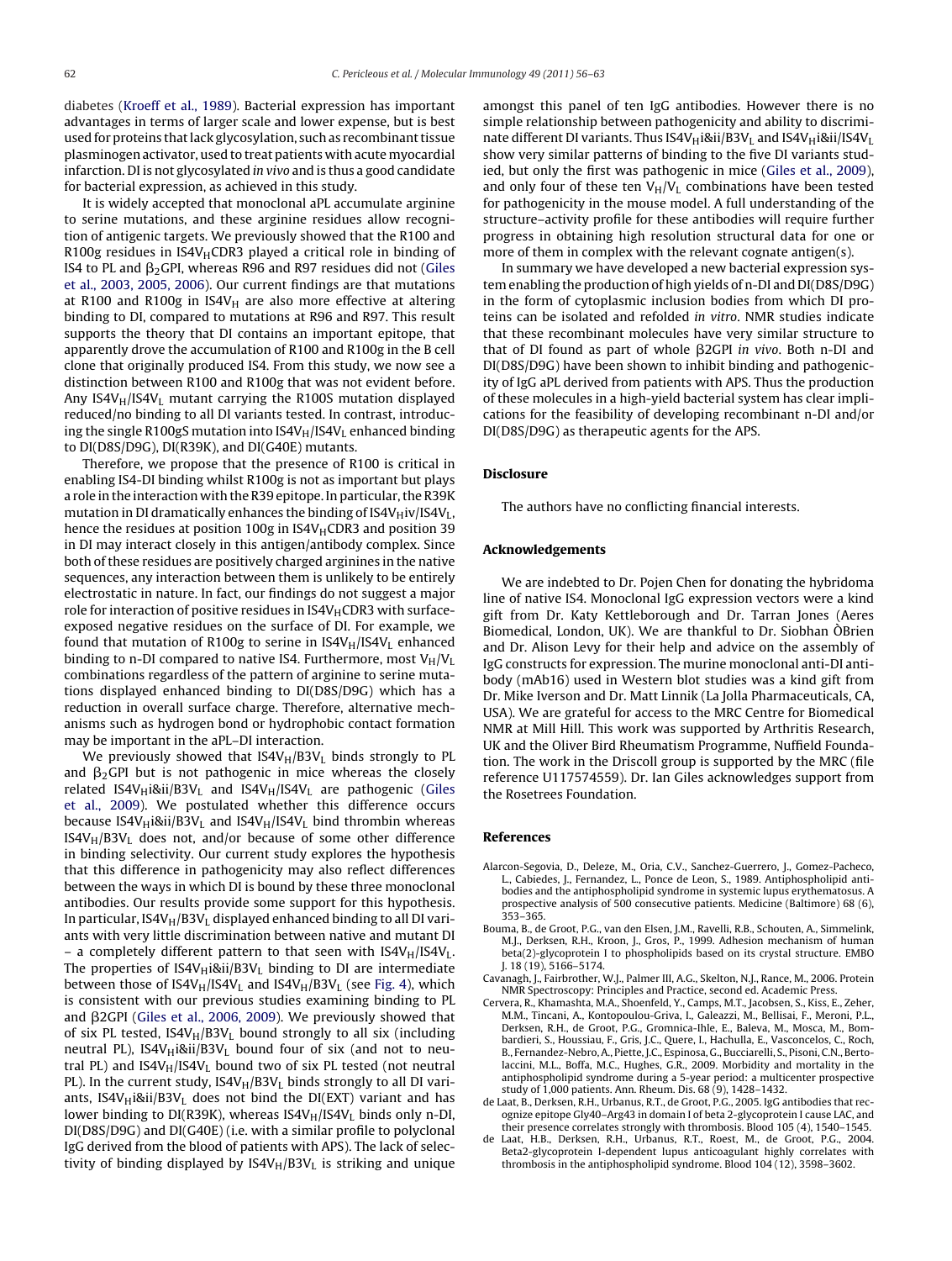<span id="page-6-0"></span>diabetes ([Kroeff](#page-7-0) et [al.,](#page-7-0) [1989\).](#page-7-0) Bacterial expression has important advantages in terms of larger scale and lower expense, but is best used for proteins that lack glycosylation, such as recombinant tissue plasminogen activator, used to treat patients with acute myocardial infarction. DI is not glycosylated in vivo and is thus a good candidate for bacterial expression, as achieved in this study.

It is widely accepted that monoclonal aPL accumulate arginine to serine mutations, and these arginine residues allow recognition of antigenic targets. We previously showed that the R100 and R100g residues in IS4V $_H$ CDR3 played a critical role in binding of IS4 to PL and  $\beta_2$ GPI, whereas R96 and R97 residues did not [\(Giles](#page-7-0) et [al.,](#page-7-0) [2003,](#page-7-0) [2005,](#page-7-0) [2006\).](#page-7-0) Our current findings are that mutations at R100 and R100g in IS4V $_H$  are also more effective at altering binding to DI, compared to mutations at R96 and R97. This result supports the theory that DI contains an important epitope, that apparently drove the accumulation of R100 and R100g in the B cell clone that originally produced IS4. From this study, we now see a distinction between R100 and R100g that was not evident before. Any IS4V $_H$ /IS4V<sub>L</sub> mutant carrying the R100S mutation displayed reduced/no binding to all DI variants tested. In contrast, introducing the single R100gS mutation into  $IS4V_H/IS4V_L$  enhanced binding to DI(D8S/D9G), DI(R39K), and DI(G40E) mutants.

Therefore, we propose that the presence of R100 is critical in enabling IS4-DI binding whilst R100g is not as important but plays a role in the interaction with the R39 epitope. In particular, the R39K mutation in DI dramatically enhances the binding of  $IS4V_H$ iv/IS4V<sub>L</sub>, hence the residues at position 100g in IS4V<sub>H</sub>CDR3 and position 39 in DI may interact closely in this antigen/antibody complex. Since both of these residues are positively charged arginines in the native sequences, any interaction between them is unlikely to be entirely electrostatic in nature. In fact, our findings do not suggest a major role for interaction of positive residues in IS4V $_H$ CDR3 with surfaceexposed negative residues on the surface of DI. For example, we found that mutation of R100g to serine in  $IS4V_H/IS4V_L$  enhanced binding to n-DI compared to native IS4. Furthermore, most  $V_H/V_L$ combinations regardless of the pattern of arginine to serine mutations displayed enhanced binding to DI(D8S/D9G) which has a reduction in overall surface charge. Therefore, alternative mechanisms such as hydrogen bond or hydrophobic contact formation may be important in the aPL–DI interaction.

We previously showed that  $IS4V_H/B3V_L$  binds strongly to PL and  $\beta_2$ GPI but is not pathogenic in mice whereas the closely related IS4V<sub>H</sub>i&ii/B3V<sub>L</sub> and IS4V<sub>H</sub>/IS4V<sub>L</sub> are pathogenic [\(Giles](#page-7-0) et [al.,](#page-7-0) [2009\).](#page-7-0) We postulated whether this difference occurs because IS4V $_H$ i&ii/B3V<sub>L</sub> and IS4V $_H$ /IS4V<sub>L</sub> bind thrombin whereas  $IS4V_H/B3V_L$  does not, and/or because of some other difference in binding selectivity. Our current study explores the hypothesis that this difference in pathogenicity may also reflect differences between the ways in which DI is bound by these three monoclonal antibodies. Our results provide some support for this hypothesis. In particular,  $IS4V_H/B3V_L$  displayed enhanced binding to all DI variants with very little discrimination between native and mutant DI – a completely different pattern to that seen with  $IS4V_H/IS4V_L$ . The properties of  $IS4V_Hi8ii/BSV_L$  binding to DI are intermediate between those of  $IS4V_H/IS4V_L$  and  $IS4V_H/BSV_L$  (see [Fig.](#page-5-0) 4), which is consistent with our previous studies examining binding to PL and β2GPI ([Giles](#page-7-0) et [al.,](#page-7-0) [2006,](#page-7-0) [2009\).](#page-7-0) We previously showed that of six PL tested,  $IS4V_H/B3V_L$  bound strongly to all six (including neutral PL), IS4V $_H$ i&ii/B3V<sub>L</sub> bound four of six (and not to neutral PL) and  $IS4V_H/IS4V_L$  bound two of six PL tested (not neutral PL). In the current study,  $IS4V_H/B3V_L$  binds strongly to all DI variants, IS4V $_H$ i&ii/B3V<sub>L</sub> does not bind the DI(EXT) variant and has lower binding to DI(R39K), whereas  $IS4V_H/IS4V_L$  binds only n-DI, DI(D8S/D9G) and DI(G40E) (i.e. with a similar profile to polyclonal IgG derived from the blood of patients with APS). The lack of selectivity of binding displayed by  $IS4V_H/B3V_L$  is striking and unique amongst this panel of ten IgG antibodies. However there is no simple relationship between pathogenicity and ability to discriminate different DI variants. Thus IS4V $_H$ i&ii/B3V<sub>L</sub> and IS4V $_H$ i&ii/IS4V<sub>L</sub> show very similar patterns of binding to the five DI variants studied, but only the first was pathogenic in mice [\(Giles](#page-7-0) et [al.,](#page-7-0) [2009\),](#page-7-0) and only four of these ten  $V_H/V_L$  combinations have been tested for pathogenicity in the mouse model. A full understanding of the structure–activity profile for these antibodies will require further progress in obtaining high resolution structural data for one or more of them in complex with the relevant cognate antigen(s).

In summary we have developed a new bacterial expression system enabling the production of high yields of n-DI and DI(D8S/D9G) in the form of cytoplasmic inclusion bodies from which DI proteins can be isolated and refolded in vitro. NMR studies indicate that these recombinant molecules have very similar structure to that of DI found as part of whole  $\beta$ 2GPI in vivo. Both n-DI and DI(D8S/D9G) have been shown to inhibit binding and pathogenicity of IgG aPL derived from patients with APS. Thus the production of these molecules in a high-yield bacterial system has clear implications for the feasibility of developing recombinant n-DI and/or DI(D8S/D9G) as therapeutic agents for the APS.

#### **Disclosure**

The authors have no conflicting financial interests.

#### **Acknowledgements**

We are indebted to Dr. Pojen Chen for donating the hybridoma line of native IS4. Monoclonal IgG expression vectors were a kind gift from Dr. Katy Kettleborough and Dr. Tarran Jones (Aeres Biomedical, London, UK). We are thankful to Dr. Siobhan ÒBrien and Dr. Alison Levy for their help and advice on the assembly of IgG constructs for expression. The murine monoclonal anti-DI antibody (mAb16) used in Western blot studies was a kind gift from Dr. Mike Iverson and Dr. Matt Linnik (La Jolla Pharmaceuticals, CA, USA). We are grateful for access to the MRC Centre for Biomedical NMR at Mill Hill. This work was supported by Arthritis Research, UK and the Oliver Bird Rheumatism Programme, Nuffield Foundation. The work in the Driscoll group is supported by the MRC (file reference U117574559). Dr. Ian Giles acknowledges support from the Rosetrees Foundation.

#### **References**

- Alarcon-Segovia, D., Deleze, M., Oria, C.V., Sanchez-Guerrero, J., Gomez-Pacheco, L., Cabiedes, J., Fernandez, L., Ponce de Leon, S., 1989. Antiphospholipid antibodies and the antiphospholipid syndrome in systemic lupus erythematosus. A prospective analysis of 500 consecutive patients. Medicine (Baltimore) 68 (6), 353–365.
- Bouma, B., de Groot, P.G., van den Elsen, J.M., Ravelli, R.B., Schouten, A., Simmelink, M.J., Derksen, R.H., Kroon, J., Gros, P., 1999. Adhesion mechanism of human beta(2)-glycoprotein I to phospholipids based on its crystal structure. EMBO J. 18 (19), 5166–5174.
- Cavanagh, J., Fairbrother, W.J., Palmer III, A.G., Skelton, N.J., Rance, M., 2006. Protein NMR Spectroscopy: Principles and Practice, second ed. Academic Press.
- Cervera, R., Khamashta, M.A., Shoenfeld, Y., Camps, M.T., Jacobsen, S., Kiss, E., Zeher, M.M., Tincani, A., Kontopoulou-Griva, I., Galeazzi, M., Bellisai, F., Meroni, P.L., Derksen, R.H., de Groot, P.G., Gromnica-Ihle, E., Baleva, M., Mosca, M., Bombardieri, S., Houssiau, F., Gris, J.C., Quere, I., Hachulla, E., Vasconcelos, C., Roch, B., Fernandez-Nebro,A., Piette, J.C., Espinosa, G., Bucciarelli, S., Pisoni, C.N., Bertolaccini, M.L., Boffa, M.C., Hughes, G.R., 2009. Morbidity and mortality in the antiphospholipid syndrome during a 5-year period: a multicenter prospective study of 1,000 patients. Ann. Rheum. Dis. 68 (9), 1428–1432.
- de Laat, B., Derksen, R.H., Urbanus, R.T., de Groot, P.G., 2005. IgG antibodies that recognize epitope Gly40–Arg43 in domain I of beta 2-glycoprotein I cause LAC, and their presence correlates strongly with thrombosis. Blood 105 (4), 1540–1545.
- de Laat, H.B., Derksen, R.H., Urbanus, R.T., Roest, M., de Groot, P.G., 2004. Beta2-glycoprotein I-dependent lupus anticoagulant highly correlates with thrombosis in the antiphospholipid syndrome. Blood 104 (12), 3598–3602.